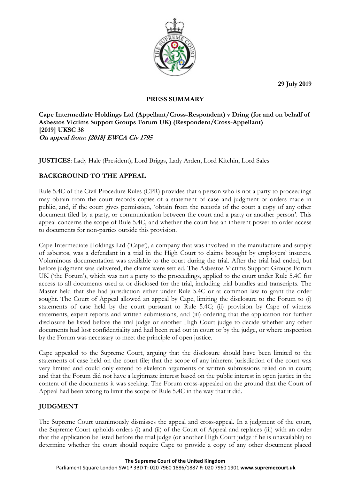**29 July 2019**



### **PRESS SUMMARY**

**Cape Intermediate Holdings Ltd (Appellant/Cross-Respondent) v Dring (for and on behalf of Asbestos Victims Support Groups Forum UK) (Respondent/Cross-Appellant) [2019] UKSC 38 On appeal from: [2018] EWCA Civ 1795**

**JUSTICES**: Lady Hale (President), Lord Briggs, Lady Arden, Lord Kitchin, Lord Sales

# **BACKGROUND TO THE APPEAL**

Rule 5.4C of the Civil Procedure Rules (CPR) provides that a person who is not a party to proceedings may obtain from the court records copies of a statement of case and judgment or orders made in public, and, if the court gives permission, 'obtain from the records of the court a copy of any other document filed by a party, or communication between the court and a party or another person'. This appeal concerns the scope of Rule 5.4C, and whether the court has an inherent power to order access to documents for non-parties outside this provision.

Cape Intermediate Holdings Ltd ('Cape'), a company that was involved in the manufacture and supply of asbestos, was a defendant in a trial in the High Court to claims brought by employers' insurers. Voluminous documentation was available to the court during the trial. After the trial had ended, but before judgment was delivered, the claims were settled. The Asbestos Victims Support Groups Forum UK ('the Forum'), which was not a party to the proceedings, applied to the court under Rule 5.4C for access to all documents used at or disclosed for the trial, including trial bundles and transcripts. The Master held that she had jurisdiction either under Rule 5.4C or at common law to grant the order sought. The Court of Appeal allowed an appeal by Cape, limiting the disclosure to the Forum to (i) statements of case held by the court pursuant to Rule 5.4C; (ii) provision by Cape of witness statements, expert reports and written submissions, and (iii) ordering that the application for further disclosure be listed before the trial judge or another High Court judge to decide whether any other documents had lost confidentiality and had been read out in court or by the judge, or where inspection by the Forum was necessary to meet the principle of open justice.

Cape appealed to the Supreme Court, arguing that the disclosure should have been limited to the statements of case held on the court file; that the scope of any inherent jurisdiction of the court was very limited and could only extend to skeleton arguments or written submissions relied on in court; and that the Forum did not have a legitimate interest based on the public interest in open justice in the content of the documents it was seeking. The Forum cross-appealed on the ground that the Court of Appeal had been wrong to limit the scope of Rule 5.4C in the way that it did.

## **JUDGMENT**

The Supreme Court unanimously dismisses the appeal and cross-appeal. In a judgment of the court, the Supreme Court upholds orders (i) and (ii) of the Court of Appeal and replaces (iii) with an order that the application be listed before the trial judge (or another High Court judge if he is unavailable) to determine whether the court should require Cape to provide a copy of any other document placed

#### **The Supreme Court of the United Kingdom**

Parliament Square London SW1P 3BD **T:** 020 7960 1886/1887 **F:** 020 7960 1901 **www.supremecourt.uk**